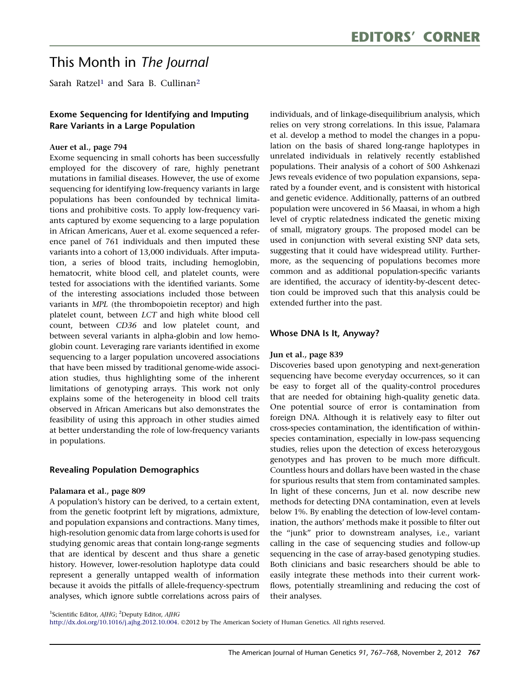# This Month in The Journal

Sarah Ratzel<sup>1</sup> and Sara B. Cullinan<sup>2</sup>

# Exome Sequencing for Identifying and Imputing Rare Variants in a Large Population

#### Auer et al., page 794

Exome sequencing in small cohorts has been successfully employed for the discovery of rare, highly penetrant mutations in familial diseases. However, the use of exome sequencing for identifying low-frequency variants in large populations has been confounded by technical limitations and prohibitive costs. To apply low-frequency variants captured by exome sequencing to a large population in African Americans, Auer et al. exome sequenced a reference panel of 761 individuals and then imputed these variants into a cohort of 13,000 individuals. After imputation, a series of blood traits, including hemoglobin, hematocrit, white blood cell, and platelet counts, were tested for associations with the identified variants. Some of the interesting associations included those between variants in MPL (the thrombopoietin receptor) and high platelet count, between LCT and high white blood cell count, between CD36 and low platelet count, and between several variants in alpha-globin and low hemoglobin count. Leveraging rare variants identified in exome sequencing to a larger population uncovered associations that have been missed by traditional genome-wide association studies, thus highlighting some of the inherent limitations of genotyping arrays. This work not only explains some of the heterogeneity in blood cell traits observed in African Americans but also demonstrates the feasibility of using this approach in other studies aimed at better understanding the role of low-frequency variants in populations.

## Revealing Population Demographics

#### Palamara et al., page 809

A population's history can be derived, to a certain extent, from the genetic footprint left by migrations, admixture, and population expansions and contractions. Many times, high-resolution genomic data from large cohorts is used for studying genomic areas that contain long-range segments that are identical by descent and thus share a genetic history. However, lower-resolution haplotype data could represent a generally untapped wealth of information because it avoids the pitfalls of allele-frequency-spectrum analyses, which ignore subtle correlations across pairs of

individuals, and of linkage-disequilibrium analysis, which relies on very strong correlations. In this issue, Palamara et al. develop a method to model the changes in a population on the basis of shared long-range haplotypes in unrelated individuals in relatively recently established populations. Their analysis of a cohort of 500 Ashkenazi Jews reveals evidence of two population expansions, separated by a founder event, and is consistent with historical and genetic evidence. Additionally, patterns of an outbred population were uncovered in 56 Maasai, in whom a high level of cryptic relatedness indicated the genetic mixing of small, migratory groups. The proposed model can be used in conjunction with several existing SNP data sets, suggesting that it could have widespread utility. Furthermore, as the sequencing of populations becomes more common and as additional population-specific variants are identified, the accuracy of identity-by-descent detection could be improved such that this analysis could be extended further into the past.

## Whose DNA Is It, Anyway?

#### Jun et al., page 839

Discoveries based upon genotyping and next-generation sequencing have become everyday occurrences, so it can be easy to forget all of the quality-control procedures that are needed for obtaining high-quality genetic data. One potential source of error is contamination from foreign DNA. Although it is relatively easy to filter out cross-species contamination, the identification of withinspecies contamination, especially in low-pass sequencing studies, relies upon the detection of excess heterozygous genotypes and has proven to be much more difficult. Countless hours and dollars have been wasted in the chase for spurious results that stem from contaminated samples. In light of these concerns, Jun et al. now describe new methods for detecting DNA contamination, even at levels below 1%. By enabling the detection of low-level contamination, the authors' methods make it possible to filter out the ''junk'' prior to downstream analyses, i.e., variant calling in the case of sequencing studies and follow-up sequencing in the case of array-based genotyping studies. Both clinicians and basic researchers should be able to easily integrate these methods into their current workflows, potentially streamlining and reducing the cost of their analyses.

<sup>1</sup>Scientific Editor, AJHG; <sup>2</sup>Deputy Editor, AJHG

[http://dx.doi.org/10.1016/j.ajhg.2012.10.004.](http://dx.doi.org/10.1016/j.ajhg.2012.10.004) 2012 by The American Society of Human Genetics. All rights reserved.